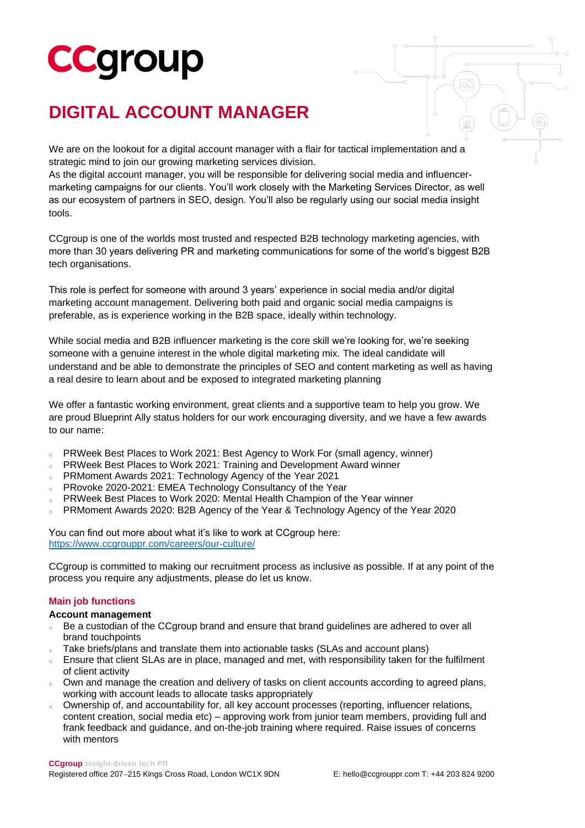# **CCgroup**

### **DIGITAL ACCOUNT MANAGER**

We are on the lookout for a digital account manager with a flair for tactical implementation and a strategic mind to join our growing marketing services division.

As the digital account manager, you will be responsible for delivering social media and influencermarketing campaigns for our clients. You'll work closely with the Marketing Services Director, as well as our ecosystem of partners in SEO, design. You'll also be regularly using our social media insight tools.

CCgroup is one of the worlds most trusted and respected B2B technology marketing agencies, with more than 30 years delivering PR and marketing communications for some of the world's biggest B2B tech organisations.

This role is perfect for someone with around 3 years' experience in social media and/or digital marketing account management. Delivering both paid and organic social media campaigns is preferable, as is experience working in the B2B space, ideally within technology.

While social media and B2B influencer marketing is the core skill we're looking for, we're seeking someone with a genuine interest in the whole digital marketing mix. The ideal candidate will understand and be able to demonstrate the principles of SEO and content marketing as well as having a real desire to learn about and be exposed to integrated marketing planning

We offer a fantastic working environment, great clients and a supportive team to help you grow. We are proud Blueprint Ally status holders for our work encouraging diversity, and we have a few awards to our name:

- o PRWeek Best Places to Work 2021: Best Agency to Work For (small agency, winner)
- PRWeek Best Places to Work 2021: Training and Development Award winner
- PRMoment Awards 2021: Technology Agency of the Year 2021
- PRovoke 2020-2021: EMEA Technology Consultancy of the Year
- PRWeek Best Places to Work 2020: Mental Health Champion of the Year winner
- PRMoment Awards 2020: B2B Agency of the Year & Technology Agency of the Year 2020

You can find out more about what it's like to work at CCgroup here: <https://www.ccgrouppr.com/careers/our-culture/>

CCgroup is committed to making our recruitment process as inclusive as possible. If at any point of the process you require any adjustments, please do let us know.

#### **Main job functions**

#### **Account management**

- Be a custodian of the CCgroup brand and ensure that brand guidelines are adhered to over all brand touchpoints
- Take briefs/plans and translate them into actionable tasks (SLAs and account plans)
- Ensure that client SLAs are in place, managed and met, with responsibility taken for the fulfilment of client activity
- Own and manage the creation and delivery of tasks on client accounts according to agreed plans, working with account leads to allocate tasks appropriately
- Ownership of, and accountability for, all key account processes (reporting, influencer relations, content creation, social media etc) – approving work from junior team members, providing full and frank feedback and guidance, and on-the-job training where required. Raise issues of concerns with mentors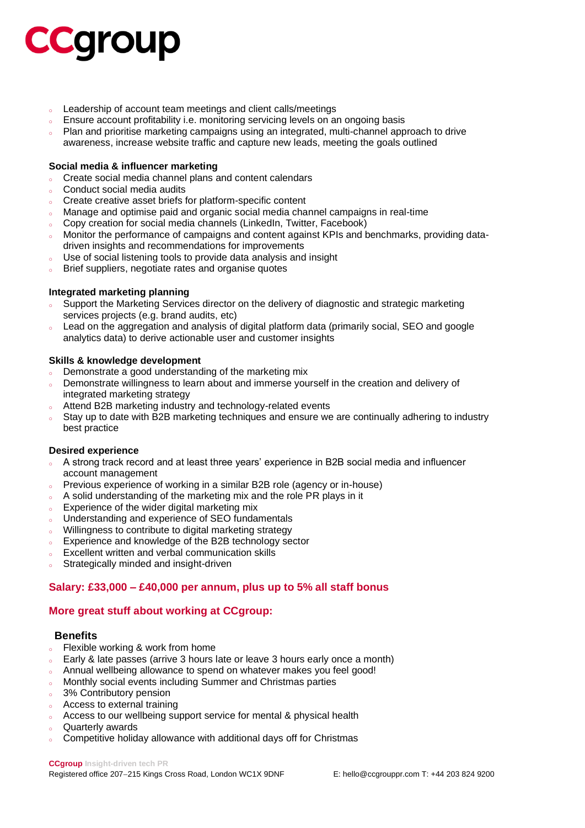## **CCGroup**

- <sup>o</sup> Leadership of account team meetings and client calls/meetings
- Ensure account profitability i.e. monitoring servicing levels on an ongoing basis
- o Plan and prioritise marketing campaigns using an integrated, multi-channel approach to drive awareness, increase website traffic and capture new leads, meeting the goals outlined

#### **Social media & influencer marketing**

- o Create social media channel plans and content calendars
- <sup>o</sup> Conduct social media audits
- o Create creative asset briefs for platform-specific content
- Manage and optimise paid and organic social media channel campaigns in real-time
- Copy creation for social media channels (LinkedIn, Twitter, Facebook)
- Monitor the performance of campaigns and content against KPIs and benchmarks, providing datadriven insights and recommendations for improvements
- <sup>o</sup> Use of social listening tools to provide data analysis and insight
- Brief suppliers, negotiate rates and organise quotes

#### **Integrated marketing planning**

- Support the Marketing Services director on the delivery of diagnostic and strategic marketing services projects (e.g. brand audits, etc)
- Lead on the aggregation and analysis of digital platform data (primarily social, SEO and google analytics data) to derive actionable user and customer insights

#### **Skills & knowledge development**

- Demonstrate a good understanding of the marketing mix
- Demonstrate willingness to learn about and immerse yourself in the creation and delivery of integrated marketing strategy
- Attend B2B marketing industry and technology-related events
- Stay up to date with B2B marketing techniques and ensure we are continually adhering to industry best practice

#### **Desired experience**

- A strong track record and at least three years' experience in B2B social media and influencer account management
- o Previous experience of working in a similar B2B role (agency or in-house)
- A solid understanding of the marketing mix and the role PR plays in it
- **Experience of the wider digital marketing mix**
- Understanding and experience of SEO fundamentals
- <sup>o</sup> Willingness to contribute to digital marketing strategy
- <sup>o</sup> Experience and knowledge of the B2B technology sector
- <sup>o</sup> Excellent written and verbal communication skills
- Strategically minded and insight-driven

#### **Salary: £33,000 – £40,000 per annum, plus up to 5% all staff bonus**

#### **More great stuff about working at CCgroup:**

#### **Benefits**

- **Elexible working & work from home**
- $\epsilon$  Early & late passes (arrive 3 hours late or leave 3 hours early once a month)
- Annual wellbeing allowance to spend on whatever makes you feel good!
- Monthly social events including Summer and Christmas parties
- 3% Contributory pension
- Access to external training
- Access to our wellbeing support service for mental & physical health
- Quarterly awards
- Competitive holiday allowance with additional days off for Christmas

**CCgroup Insight-driven tech PR**

Registered office 207−215 Kings Cross Road, London WC1X 9DNF E: hello@ccgrouppr.com T: +44 203 824 9200